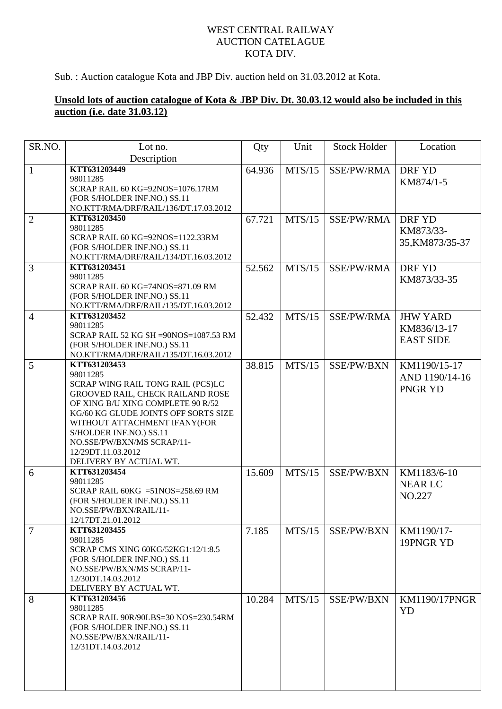## WEST CENTRAL RAILWAY AUCTION CATELAGUE KOTA DIV.

Sub. : Auction catalogue Kota and JBP Div. auction held on 31.03.2012 at Kota.

## **Unsold lots of auction catalogue of Kota & JBP Div. Dt. 30.03.12 would also be included in this auction (i.e. date 31.03.12)**

| SR.NO.         | Lot no.<br>Description                                                                                                                                                                                                                                                                                                  | Qty    | Unit   | <b>Stock Holder</b> | Location                                           |
|----------------|-------------------------------------------------------------------------------------------------------------------------------------------------------------------------------------------------------------------------------------------------------------------------------------------------------------------------|--------|--------|---------------------|----------------------------------------------------|
| $\mathbf{1}$   | KTT631203449<br>98011285<br>SCRAP RAIL 60 KG=92NOS=1076.17RM<br>(FOR S/HOLDER INF.NO.) SS.11<br>NO.KTT/RMA/DRF/RAIL/136/DT.17.03.2012                                                                                                                                                                                   | 64.936 | MTS/15 | SSE/PW/RMA          | <b>DRFYD</b><br>KM874/1-5                          |
| $\overline{2}$ | KTT631203450<br>98011285<br>SCRAP RAIL 60 KG=92NOS=1122.33RM<br>(FOR S/HOLDER INF.NO.) SS.11<br>NO.KTT/RMA/DRF/RAIL/134/DT.16.03.2012                                                                                                                                                                                   | 67.721 | MTS/15 | SSE/PW/RMA          | DRF YD<br>KM873/33-<br>35, KM873/35-37             |
| 3              | KTT631203451<br>98011285<br>SCRAP RAIL 60 KG=74NOS=871.09 RM<br>(FOR S/HOLDER INF.NO.) SS.11<br>NO.KTT/RMA/DRF/RAIL/135/DT.16.03.2012                                                                                                                                                                                   | 52.562 | MTS/15 | SSE/PW/RMA          | DRF YD<br>KM873/33-35                              |
| $\overline{4}$ | KTT631203452<br>98011285<br>SCRAP RAIL 52 KG SH = 90NOS = 1087.53 RM<br>(FOR S/HOLDER INF.NO.) SS.11<br>NO.KTT/RMA/DRF/RAIL/135/DT.16.03.2012                                                                                                                                                                           | 52.432 | MTS/15 | SSE/PW/RMA          | <b>JHW YARD</b><br>KM836/13-17<br><b>EAST SIDE</b> |
| 5              | KTT631203453<br>98011285<br>SCRAP WING RAIL TONG RAIL (PCS)LC<br>GROOVED RAIL, CHECK RAILAND ROSE<br>OF XING B/U XING COMPLETE 90 R/52<br>KG/60 KG GLUDE JOINTS OFF SORTS SIZE<br>WITHOUT ATTACHMENT IFANY(FOR<br>S/HOLDER INF.NO.) SS.11<br>NO.SSE/PW/BXN/MS SCRAP/11-<br>12/29DT.11.03.2012<br>DELIVERY BY ACTUAL WT. | 38.815 | MTS/15 | SSE/PW/BXN          | KM1190/15-17<br>AND 1190/14-16<br>PNGR YD          |
| 6              | KTT631203454<br>98011285<br>SCRAP RAIL 60KG = $51NOS = 258.69$ RM<br>(FOR S/HOLDER INF.NO.) SS.11<br>NO.SSE/PW/BXN/RAIL/11-<br>12/17DT.21.01.2012                                                                                                                                                                       | 15.609 | MTS/15 | SSE/PW/BXN          | KM1183/6-10<br><b>NEAR LC</b><br>NO.227            |
| $\tau$         | KTT631203455<br>98011285<br>SCRAP CMS XING 60KG/52KG1:12/1:8.5<br>(FOR S/HOLDER INF.NO.) SS.11<br>NO.SSE/PW/BXN/MS SCRAP/11-<br>12/30DT.14.03.2012<br>DELIVERY BY ACTUAL WT.                                                                                                                                            | 7.185  | MTS/15 | SSE/PW/BXN          | KM1190/17-<br>19PNGR YD                            |
| 8              | KTT631203456<br>98011285<br>SCRAP RAIL 90R/90LBS=30 NOS=230.54RM<br>(FOR S/HOLDER INF.NO.) SS.11<br>NO.SSE/PW/BXN/RAIL/11-<br>12/31DT.14.03.2012                                                                                                                                                                        | 10.284 | MTS/15 | SSE/PW/BXN          | <b>KM1190/17PNGR</b><br>YD                         |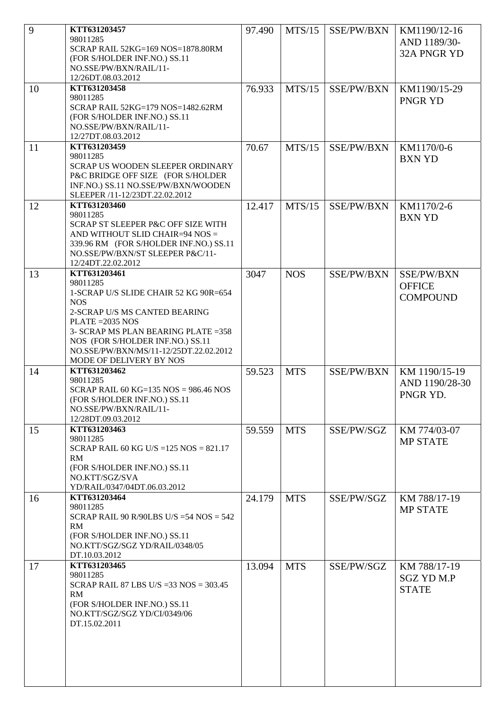| 9  | KTT631203457<br>98011285<br>SCRAP RAIL 52KG=169 NOS=1878.80RM<br>(FOR S/HOLDER INF.NO.) SS.11<br>NO.SSE/PW/BXN/RAIL/11-<br>12/26DT.08.03.2012                                                                                                                                           | 97.490 | MTS/15     | SSE/PW/BXN        | KM1190/12-16<br>AND 1189/30-<br>32A PNGR YD       |
|----|-----------------------------------------------------------------------------------------------------------------------------------------------------------------------------------------------------------------------------------------------------------------------------------------|--------|------------|-------------------|---------------------------------------------------|
| 10 | KTT631203458<br>98011285<br>SCRAP RAIL 52KG=179 NOS=1482.62RM<br>(FOR S/HOLDER INF.NO.) SS.11<br>NO.SSE/PW/BXN/RAIL/11-<br>12/27DT.08.03.2012                                                                                                                                           | 76.933 | MTS/15     | SSE/PW/BXN        | KM1190/15-29<br>PNGR YD                           |
| 11 | KTT631203459<br>98011285<br>SCRAP US WOODEN SLEEPER ORDINARY<br>P&C BRIDGE OFF SIZE (FOR S/HOLDER<br>INF.NO.) SS.11 NO.SSE/PW/BXN/WOODEN<br>SLEEPER /11-12/23DT.22.02.2012                                                                                                              | 70.67  | MTS/15     | SSE/PW/BXN        | KM1170/0-6<br><b>BXN YD</b>                       |
| 12 | KTT631203460<br>98011285<br>SCRAP ST SLEEPER P&C OFF SIZE WITH<br>AND WITHOUT SLID CHAIR=94 NOS =<br>339.96 RM (FOR S/HOLDER INF.NO.) SS.11<br>NO.SSE/PW/BXN/ST SLEEPER P&C/11-<br>12/24DT.22.02.2012                                                                                   | 12.417 | MTS/15     | SSE/PW/BXN        | KM1170/2-6<br><b>BXN YD</b>                       |
| 13 | KTT631203461<br>98011285<br>1-SCRAP U/S SLIDE CHAIR 52 KG 90R=654<br><b>NOS</b><br>2-SCRAP U/S MS CANTED BEARING<br>$PLATE = 2035 NOS$<br>3- SCRAP MS PLAN BEARING PLATE = 358<br>NOS (FOR S/HOLDER INF.NO.) SS.11<br>NO.SSE/PW/BXN/MS/11-12/25DT.22.02.2012<br>MODE OF DELIVERY BY NOS | 3047   | <b>NOS</b> | <b>SSE/PW/BXN</b> | SSE/PW/BXN<br><b>OFFICE</b><br><b>COMPOUND</b>    |
| 14 | KTT631203462<br>98011285<br>SCRAP RAIL 60 KG=135 NOS = $986.46$ NOS<br>(FOR S/HOLDER INF.NO.) SS.11<br>NO.SSE/PW/BXN/RAIL/11-<br>12/28DT.09.03.2012                                                                                                                                     | 59.523 | <b>MTS</b> | SSE/PW/BXN        | KM 1190/15-19<br>AND 1190/28-30<br>PNGR YD.       |
| 15 | KTT631203463<br>98011285<br>SCRAP RAIL 60 KG U/S = $125$ NOS = $821.17$<br>RM<br>(FOR S/HOLDER INF.NO.) SS.11<br>NO.KTT/SGZ/SVA<br>YD/RAIL/0347/04DT.06.03.2012                                                                                                                         | 59.559 | <b>MTS</b> | SSE/PW/SGZ        | KM 774/03-07<br><b>MP STATE</b>                   |
| 16 | KTT631203464<br>98011285<br>SCRAP RAIL 90 R/90LBS U/S = $54$ NOS = $542$<br>RM<br>(FOR S/HOLDER INF.NO.) SS.11<br>NO.KTT/SGZ/SGZ YD/RAIL/0348/05<br>DT.10.03.2012                                                                                                                       | 24.179 | <b>MTS</b> | SSE/PW/SGZ        | KM 788/17-19<br><b>MP STATE</b>                   |
| 17 | KTT631203465<br>98011285<br>SCRAP RAIL 87 LBS U/S = $33$ NOS = $303.45$<br>RM<br>(FOR S/HOLDER INF.NO.) SS.11<br>NO.KTT/SGZ/SGZ YD/CI/0349/06<br>DT.15.02.2011                                                                                                                          | 13.094 | <b>MTS</b> | SSE/PW/SGZ        | KM 788/17-19<br><b>SGZ YD M.P</b><br><b>STATE</b> |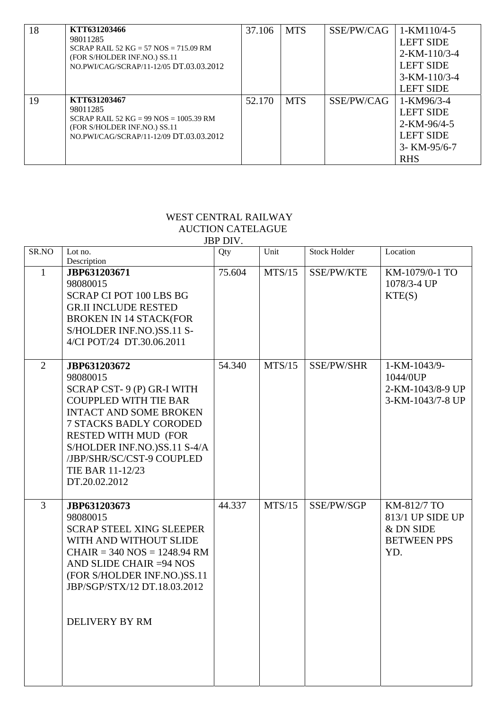| 18 | KTT631203466<br>98011285<br>SCRAP RAIL 52 KG = 57 NOS = 715.09 RM<br>(FOR S/HOLDER INF.NO.) SS.11<br>NO.PWI/CAG/SCRAP/11-12/05 DT.03.03.2012  | 37.106 | <b>MTS</b> | SSE/PW/CAG | $1-KM110/4-5$<br><b>LEFT SIDE</b><br>$2-KM-110/3-4$<br><b>LEFT SIDE</b><br>$3-KM-110/3-4$<br><b>LEFT SIDE</b> |
|----|-----------------------------------------------------------------------------------------------------------------------------------------------|--------|------------|------------|---------------------------------------------------------------------------------------------------------------|
| 19 | KTT631203467<br>98011285<br>SCRAP RAIL 52 KG = 99 NOS = 1005.39 RM<br>(FOR S/HOLDER INF.NO.) SS.11<br>NO.PWI/CAG/SCRAP/11-12/09 DT.03.03.2012 | 52.170 | <b>MTS</b> | SSE/PW/CAG | 1-KM96/3-4<br><b>LEFT SIDE</b><br>$2-KM-96/4-5$<br><b>LEFT SIDE</b><br>$3 - KM - 95/6 - 7$<br><b>RHS</b>      |

## WEST CENTRAL RAILWAY AUCTION CATELAGUE

| JBP DIV.       |                                                                                                                                                                                                                                                                                         |        |        |                     |                                                                           |  |  |
|----------------|-----------------------------------------------------------------------------------------------------------------------------------------------------------------------------------------------------------------------------------------------------------------------------------------|--------|--------|---------------------|---------------------------------------------------------------------------|--|--|
| SR.NO          | Lot no.<br>Description                                                                                                                                                                                                                                                                  | Qty    | Unit   | <b>Stock Holder</b> | Location                                                                  |  |  |
| $\mathbf{1}$   | JBP631203671<br>98080015<br><b>SCRAP CI POT 100 LBS BG</b><br><b>GR.II INCLUDE RESTED</b><br><b>BROKEN IN 14 STACK(FOR</b><br>S/HOLDER INF.NO.)SS.11 S-<br>4/CI POT/24 DT.30.06.2011                                                                                                    | 75.604 | MTS/15 | SSE/PW/KTE          | KM-1079/0-1 TO<br>1078/3-4 UP<br>KTE(S)                                   |  |  |
| $\overline{2}$ | JBP631203672<br>98080015<br>SCRAP CST-9(P) GR-I WITH<br><b>COUPPLED WITH TIE BAR</b><br><b>INTACT AND SOME BROKEN</b><br><b>7 STACKS BADLY CORODED</b><br><b>RESTED WITH MUD (FOR</b><br>S/HOLDER INF.NO.)SS.11 S-4/A<br>/JBP/SHR/SC/CST-9 COUPLED<br>TIE BAR 11-12/23<br>DT.20.02.2012 | 54.340 | MTS/15 | SSE/PW/SHR          | 1-KM-1043/9-<br>1044/0UP<br>2-KM-1043/8-9 UP<br>3-KM-1043/7-8 UP          |  |  |
| 3              | JBP631203673<br>98080015<br><b>SCRAP STEEL XING SLEEPER</b><br>WITH AND WITHOUT SLIDE<br>$CHAIR = 340 NOS = 1248.94 RM$<br>AND SLIDE CHAIR = 94 NOS<br>(FOR S/HOLDER INF.NO.)SS.11<br>JBP/SGP/STX/12 DT.18.03.2012<br><b>DELIVERY BY RM</b>                                             | 44.337 | MTS/15 | SSE/PW/SGP          | KM-812/7 TO<br>813/1 UP SIDE UP<br>& DN SIDE<br><b>BETWEEN PPS</b><br>YD. |  |  |